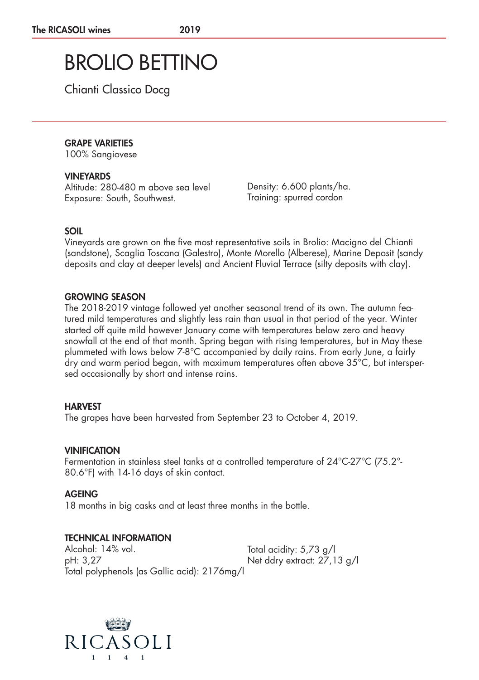# BROLIO BETTINO

Chianti Classico Docg

## GRAPE VARIETIES

100% Sangiovese

### VINEYARDS

Altitude: 280-480 m above sea level Exposure: South, Southwest.

Density: 6.600 plants/ha. Training: spurred cordon

## SOIL

Vineyards are grown on the five most representative soils in Brolio: Macigno del Chianti (sandstone), Scaglia Toscana (Galestro), Monte Morello (Alberese), Marine Deposit (sandy deposits and clay at deeper levels) and Ancient Fluvial Terrace (silty deposits with clay).

#### GROWING SEASON

The 2018-2019 vintage followed yet another seasonal trend of its own. The autumn featured mild temperatures and slightly less rain than usual in that period of the year. Winter started off quite mild however January came with temperatures below zero and heavy snowfall at the end of that month. Spring began with rising temperatures, but in May these plummeted with lows below 7-8°C accompanied by daily rains. From early June, a fairly dry and warm period began, with maximum temperatures often above 35°C, but interspersed occasionally by short and intense rains.

## **HARVEST**

The grapes have been harvested from September 23 to October 4, 2019.

## VINIFICATION

Fermentation in stainless steel tanks at a controlled temperature of 24°C-27°C (75.2°- 80.6°F) with 14-16 days of skin contact.

#### AGEING

18 months in big casks and at least three months in the bottle.

## TECHNICAL INFORMATION

Alcohol: 14% vol. pH: 3,27 Total polyphenols (as Gallic acid): 2176mg/l

Total acidity: 5,73 g/l Net ddry extract: 27,13 g/l